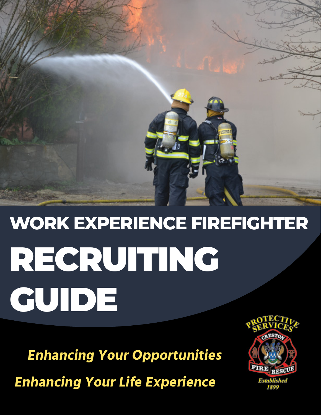

# **WORK EXPERIENCE FIREFIGHTER** RECRUITING GUIDE

**Enhancing Your Opportunities**

**Enhancing Your Life Experience**

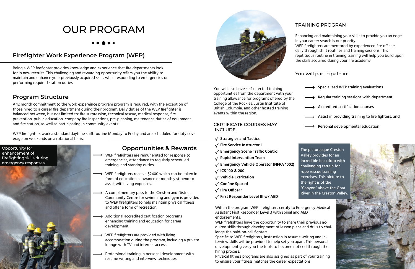# OUR PROGRAM

#### **Firefighter Work Experience Program (WEP)**

Being a WEP firefighter provides knowledge and experience that fire departments look for in new recruits. This challenging and rewarding opportunity offers you the ability to maintain and enhance your previously acquired skills while responding to emergencies or performing required station duties.

#### **Program Structure**

A 12 month commitment to the work expereince program program is required, with the exception of those hired to a career fire department during their program. Daily duties of the WEP firefighter is balanced between, but not limited to: fire surpression, technical rescue, medical response, fire prevention, public education, company fire inspections, pre-planning, maitenence duties of equipment and fire station, as well as participating in community events.

WEP firefighters work a standard daytime shift routine Monday to Friday and are scheduled for duty coverage on weekends on a rotational basis.

#### **Opportunities & Rewards**

 $\rightarrow$  Specialized WEP training evaluations Regular training sessions with department Accredited certification courses Assist in providing training to fire fighters, and Personal developmental education

- WEP firefighters are remunerated for response to emergencies, attendance to regularly scheduled training, and standby duties.
- WEP firefighters receive \$2400 which can be taken in form of education allowance or monthly stipend to assist with living expenses.
- A complimentary pass to the Creston and District Community Centre for swimming and gym is provided to WEP firefighters to help maintain physical fitness and offer a form of recreation.
- Additional accredited certification programs enhancing training and education for career development.
- WEP firefighters are provided with living accomodation during the program, including a private lounge with TV and internet access.
- Professional training in personal development with resume writing and interview techniques.





#### TRAINING PROGRAM

Enhancing and maintaining your skills to provide you an edge in your career search is our priority.

WEP firefighters are mentored by experienced fire officers daily through shift routines and training sessions. This repitituous routine in training training will help you build upon the skills acquired during your fire academy.

#### You will participate in:

You will also have self-directed training opportunities from the department with your training allowance for programs offered by the College of the Rockies, Justin Insititute of British Columbia, and other hosted training events within the region.

#### CERTIFICATE COURSES MAY INCLUDE:

- **Strategies and Tactics**
- **Fire Service Instructor I**
- **Emergency Scene Traffic Control**
- **Rapid Intervention Team**
- **Emergency Vehicle Operator (NFPA 1002)**
- **ICS 100 & 200**
- **Vehicle Extrication**
- **Confine Spaced**
- **Fire Officer 1**
- **First Responder Level III w/ AED**

Within the program WEP firefighters certify to Emergency Medical Assistant First Responder Level 3 with spinal and AED endorsements.

WEP firefighters have the opportunity to share their previous acquired skills through development of lesson plans and drills to challenge the paid-on-call fighters.

Specific to WEP firefighters, instruction in resume writing and interview skills will be provided to help set you apart. This personal development gives you the tools to become noticed through the hiring process.

Physical fitness programs are also assigned as part of your training to ensure your fitness matches the career expectations.

The picturesque Creston Valley provides for an incredible backdrop with challenging terrain for rope rescue training exercises. This picture to the right is of the "Canyon" above the Goat River in the Creston Valley.

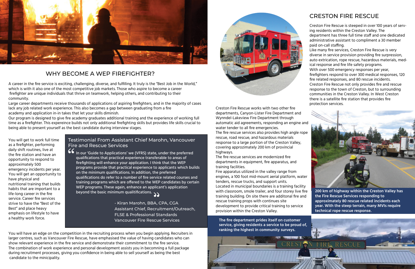

#### WHY BECOME A WEP FIREFIGHTER?

In our 'Guide to Applications' we (VFRS) state, under the preferred qualifications that practical experience transferable to areas of firefighting will enhance your application. I think that the WEP programs provide that practical experience to applicants which builds on the minimum qualifications. In addition, the preferred qualifications do refer to a number of fire service related courses and training programs which are offered to the WEP candidates by certain WEP programs. These again, enhance an applicant's application beyond the basic minimum qualitifications.  $\bigl(\begin{smallmatrix} \cdot & \cdot & \cdot \\ \cdot & \cdot & \cdot \end{smallmatrix}\bigr)$ <sup>"</sup>

#### Testimonial From Assistant Chief Marohn, Vancouver Fire and Rescue Services

- Kiran Marohn, BBA, CPA, CGA Assistant Chief, Recruitment/Outreach, FLSE & Professional Standards Vancouver Fire Rescue Services

A career in the fire service is exciting, challenging, diverse, and fulfilling. It truly is the "Best Job in the World," which is with it also one of the most competitive job markets. Those who aspire to become a career firefighter are unique individuals that thrive on teamwork, helping others, and contributing to their community.

Large career departments receive thousands of applications of aspiring firefighters, and in the majority of cases lack any job related work experience. This also becomes a gap between graduating from a fire academy and application in-in takes that let your skills diminish.

Our program is designed to give fire academy graduates additional training and the experience of working full time as a firefighter. This expereince builds not only additional firefighting skills but provides life skills crucial to being able to present yourself as the best candidate during interview stages.

You will get to work full time as a firefighter, performing daily shift routines, live at the fire station and have an opportunity to respond to approximately 500 emergency incidents per year. You will get an opportunity to have physical and nutritional training that builds habits that are important to a life-long career in the fire service. Career fire services strive to have the "Best of the Best" and place heavy emphasis on lifestyle to have a healthy work force.

You will have an edge on the competition in the recruiting process when you begin applying. Recruiters in larger centres, such as Vancouver Fire Rescue, have emphasised the value of having candidates who can show relevant experience in the fire service and demonstrate their commitment to the fire service. The combination of work experience and personal development assists you in becomning a full package during recruitment processes, giving you confidence in being able to sell yourself as being the best candidate to the minicipality.



#### CRESTON FIRE RESCUE

Creston Fire Rescue is steeped in over 100 years of serving residents within the Creston Valley. The department has three full time staff and one dedicated administrative assistant to compliment a 30 member paid on-call staffing.

Like many fire services, Creston Fire Rescue is very diverse in service provision providing fire surpression, auto extrication, rope rescue, hazardous materials, medical response and fire life safety programs.

With over 500 emergency responses per year, firefighters respond to over 300 medical responses, 120 fire related responses, and 80 rescue incidents. Creston Fire Rescue not only provides fire and rescue response to the town of Creston, but to surrounding communities in the Creston Valley. In West Creston there is a satellite fire station that provides fire protection services.



Creston Fire Rescue works with two other fire departments, Canyon-Lister Fire Department and Wynndel-Lakeview Fire Department through automatic aid agreements, responding an engine and water tender to all fire emergencies. The fire rescue services also provides high angle rope rescue, road rescue, and hazardous materials response to a large portion of the Creston Valley, covering approzimately 200 km of provincial highways.

The fire rescue services are modernized fire departments in equipment, fire apparatus, and training facilities.

Fire apparatus utilized in the valley range from engines, a 100 foot mid-mount aerial platform, water

tenders, rescue trucks, and support units. Located in municipal boundaries is a training facility with classroom, smole trailer, and four storey live fire training building. On site there are additonal fire and rescue training props with continues site development to provide critical training to service provision within the Creston Valley.



**200 km of highway within the Creston Valley has the Fire Rescue Services responding to approximately 80 rescue related incidents each year. With the steep terrain, many MVIs require technical rope rescue response.**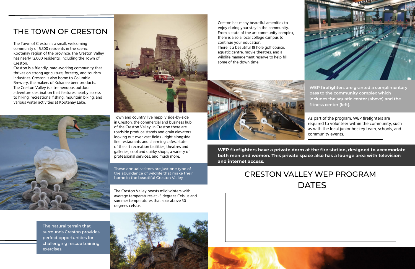### THE TOWN OF CRESTON

The Town of Creston is a small, welcoming community of 5,300 residents in the scenic Kootenay region of the province. The Creston Valley has nearly 12,000 residents, including the Town of Creston.

Creston is a friendly, hard-working community that thrives on strong agriculture, forestry, and tourism industries. Creston is also home to Columbia Brewery, the makers of Kokanee beer products. The Creston Valley is a tremendous outdoor adventure destination that features nearby access to hiking, recreational fishing, mountain biking, and various water activities at Kootenay Lake.





Town and country live happily side-by-side in Creston, the commercial and business hub of the Creston Valley. In Creston there are roadside produce stands and grain elevators looking out over vast fields - right alongside fine restaurants and charming cafes, state of the art recreation facilities, theatres and galleries, cool and quirky shops, a variety of professional services, and much more.

These annual visitors are just one type of the abundance of wildlife that make their home in the beautiful Creston Valley

# CRESTON VALLEY WEP PROGRAM **DATES**





The Creston Valley boasts mild winters with average temperatures at -5 degrees Celsius and summer temperatures that soar above 30 degrees celsius.

The natural terrain that surrounds Creston provides perfect opportunities for challenging rescue training exercises.



Creston has many beautiful amenities to enjoy during your stay in the community. From a state of the art community complex, there is also a local college campus to continue your education. There is a beautiful 18 hole golf course, aquatic centre, movie theatres, and a wildlife management reserve to help fill some of the down time.



**WEP firefighters are granted a complimentary pass to the community complex which includes the aquatic center (above) and the fitness center (left).** 

As part of the program, WEP firefighters are required to volunteer within the community, such as with the local junior hockey team, schools, and community events.

**WEP firefighters have a private dorm at the fire station, designed to accomodate both men and women. This private space also has a lounge area with television and internet access.**